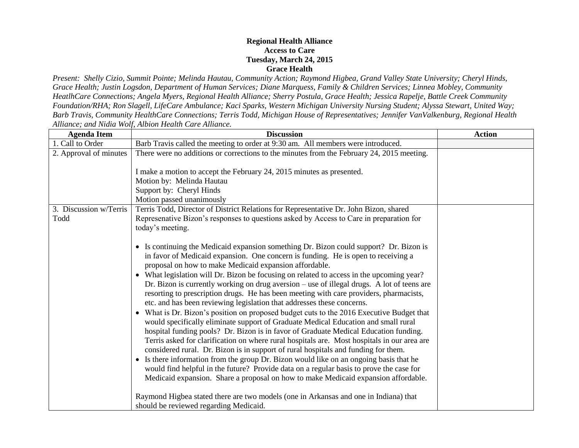## **Regional Health Alliance Access to Care Tuesday, March 24, 2015 Grace Health**

*Present: Shelly Cizio, Summit Pointe; Melinda Hautau, Community Action; Raymond Higbea, Grand Valley State University; Cheryl Hinds, Grace Health; Justin Logsdon, Department of Human Services; Diane Marquess, Family & Children Services; Linnea Mobley, Community HeatlhCare Connections; Angela Myers, Regional Health Alliance; Sherry Postula, Grace Health; Jessica Rapelje, Battle Creek Community Foundation/RHA; Ron Slagell, LifeCare Ambulance; Kaci Sparks, Western Michigan University Nursing Student; Alyssa Stewart, United Way; Barb Travis, Community HealthCare Connections; Terris Todd, Michigan House of Representatives; Jennifer VanValkenburg, Regional Health Alliance; and Nidia Wolf, Albion Health Care Alliance.*

| <b>Agenda Item</b>     | <b>Discussion</b>                                                                                                                                                                                                                                                                                                                                                                                                                                                                                                                                                                                                                                                                                                                                                                                                                                                                                                                                                                                                                                                                                                                                                                                                                                                                                                                                                                                                                                                                          | <b>Action</b> |
|------------------------|--------------------------------------------------------------------------------------------------------------------------------------------------------------------------------------------------------------------------------------------------------------------------------------------------------------------------------------------------------------------------------------------------------------------------------------------------------------------------------------------------------------------------------------------------------------------------------------------------------------------------------------------------------------------------------------------------------------------------------------------------------------------------------------------------------------------------------------------------------------------------------------------------------------------------------------------------------------------------------------------------------------------------------------------------------------------------------------------------------------------------------------------------------------------------------------------------------------------------------------------------------------------------------------------------------------------------------------------------------------------------------------------------------------------------------------------------------------------------------------------|---------------|
| 1. Call to Order       | Barb Travis called the meeting to order at 9:30 am. All members were introduced.                                                                                                                                                                                                                                                                                                                                                                                                                                                                                                                                                                                                                                                                                                                                                                                                                                                                                                                                                                                                                                                                                                                                                                                                                                                                                                                                                                                                           |               |
| 2. Approval of minutes | There were no additions or corrections to the minutes from the February 24, 2015 meeting.<br>I make a motion to accept the February 24, 2015 minutes as presented.<br>Motion by: Melinda Hautau<br>Support by: Cheryl Hinds<br>Motion passed unanimously                                                                                                                                                                                                                                                                                                                                                                                                                                                                                                                                                                                                                                                                                                                                                                                                                                                                                                                                                                                                                                                                                                                                                                                                                                   |               |
| 3. Discussion w/Terris | Terris Todd, Director of District Relations for Representative Dr. John Bizon, shared                                                                                                                                                                                                                                                                                                                                                                                                                                                                                                                                                                                                                                                                                                                                                                                                                                                                                                                                                                                                                                                                                                                                                                                                                                                                                                                                                                                                      |               |
| Todd                   | Represenative Bizon's responses to questions asked by Access to Care in preparation for<br>today's meeting.                                                                                                                                                                                                                                                                                                                                                                                                                                                                                                                                                                                                                                                                                                                                                                                                                                                                                                                                                                                                                                                                                                                                                                                                                                                                                                                                                                                |               |
|                        | • Is continuing the Medicaid expansion something Dr. Bizon could support? Dr. Bizon is<br>in favor of Medicaid expansion. One concern is funding. He is open to receiving a<br>proposal on how to make Medicaid expansion affordable.<br>• What legislation will Dr. Bizon be focusing on related to access in the upcoming year?<br>Dr. Bizon is currently working on drug aversion – use of illegal drugs. A lot of teens are<br>resorting to prescription drugs. He has been meeting with care providers, pharmacists,<br>etc. and has been reviewing legislation that addresses these concerns.<br>What is Dr. Bizon's position on proposed budget cuts to the 2016 Executive Budget that<br>$\bullet$<br>would specifically eliminate support of Graduate Medical Education and small rural<br>hospital funding pools? Dr. Bizon is in favor of Graduate Medical Education funding.<br>Terris asked for clarification on where rural hospitals are. Most hospitals in our area are<br>considered rural. Dr. Bizon is in support of rural hospitals and funding for them.<br>• Is there information from the group Dr. Bizon would like on an ongoing basis that he<br>would find helpful in the future? Provide data on a regular basis to prove the case for<br>Medicaid expansion. Share a proposal on how to make Medicaid expansion affordable.<br>Raymond Higbea stated there are two models (one in Arkansas and one in Indiana) that<br>should be reviewed regarding Medicaid. |               |